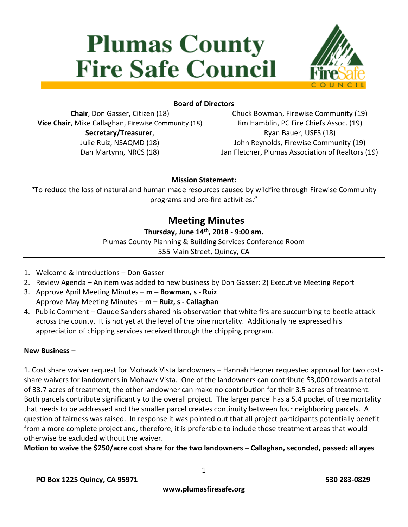# **Plumas County Fire Safe Council**



## **Board of Directors**

**Chair**, Don Gasser, Citizen (18) **Vice Chair**, Mike Callaghan, Firewise Community (18) **Secretary/Treasurer**, Julie Ruiz, NSAQMD (18) Dan Martynn, NRCS (18)

Chuck Bowman, Firewise Community (19) Jim Hamblin, PC Fire Chiefs Assoc. (19) Ryan Bauer, USFS (18) John Reynolds, Firewise Community (19) Jan Fletcher, Plumas Association of Realtors (19)

#### **Mission Statement:**

"To reduce the loss of natural and human made resources caused by wildfire through Firewise Community programs and pre-fire activities."

# **Meeting Minutes**

#### **Thursday, June 14th, 2018 - 9:00 am.**

Plumas County Planning & Building Services Conference Room

555 Main Street, Quincy, CA

- 1. Welcome & Introductions Don Gasser
- 2. Review Agenda An item was added to new business by Don Gasser: 2) Executive Meeting Report
- 3. Approve April Meeting Minutes **m – Bowman, s - Ruiz** Approve May Meeting Minutes – **m – Ruiz, s - Callaghan**
- 4. Public Comment Claude Sanders shared his observation that white firs are succumbing to beetle attack across the county. It is not yet at the level of the pine mortality. Additionally he expressed his appreciation of chipping services received through the chipping program.

#### **New Business –**

1. Cost share waiver request for Mohawk Vista landowners – Hannah Hepner requested approval for two costshare waivers for landowners in Mohawk Vista. One of the landowners can contribute \$3,000 towards a total of 33.7 acres of treatment, the other landowner can make no contribution for their 3.5 acres of treatment. Both parcels contribute significantly to the overall project. The larger parcel has a 5.4 pocket of tree mortality that needs to be addressed and the smaller parcel creates continuity between four neighboring parcels. A question of fairness was raised. In response it was pointed out that all project participants potentially benefit from a more complete project and, therefore, it is preferable to include those treatment areas that would otherwise be excluded without the waiver.

**Motion to waive the \$250/acre cost share for the two landowners – Callaghan, seconded, passed: all ayes**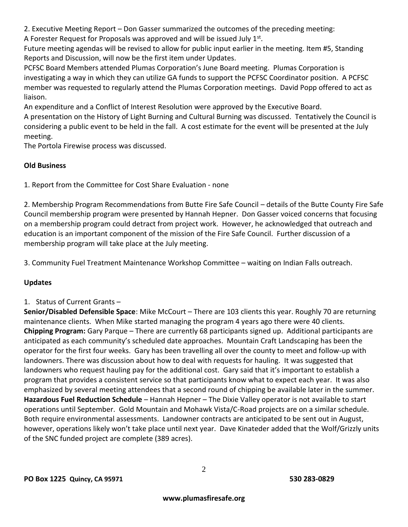2. Executive Meeting Report – Don Gasser summarized the outcomes of the preceding meeting:

A Forester Request for Proposals was approved and will be issued July  $1<sup>st</sup>$ .

Future meeting agendas will be revised to allow for public input earlier in the meeting. Item #5, Standing Reports and Discussion, will now be the first item under Updates.

PCFSC Board Members attended Plumas Corporation's June Board meeting. Plumas Corporation is investigating a way in which they can utilize GA funds to support the PCFSC Coordinator position. A PCFSC member was requested to regularly attend the Plumas Corporation meetings. David Popp offered to act as liaison.

An expenditure and a Conflict of Interest Resolution were approved by the Executive Board.

A presentation on the History of Light Burning and Cultural Burning was discussed. Tentatively the Council is considering a public event to be held in the fall. A cost estimate for the event will be presented at the July meeting.

The Portola Firewise process was discussed.

# **Old Business**

1. Report from the Committee for Cost Share Evaluation - none

2. Membership Program Recommendations from Butte Fire Safe Council – details of the Butte County Fire Safe Council membership program were presented by Hannah Hepner. Don Gasser voiced concerns that focusing on a membership program could detract from project work. However, he acknowledged that outreach and education is an important component of the mission of the Fire Safe Council. Further discussion of a membership program will take place at the July meeting.

3. Community Fuel Treatment Maintenance Workshop Committee – waiting on Indian Falls outreach.

# **Updates**

# 1. Status of Current Grants –

**Senior/Disabled Defensible Space**: Mike McCourt – There are 103 clients this year. Roughly 70 are returning maintenance clients. When Mike started managing the program 4 years ago there were 40 clients. **Chipping Program:** Gary Parque – There are currently 68 participants signed up. Additional participants are anticipated as each community's scheduled date approaches. Mountain Craft Landscaping has been the operator for the first four weeks. Gary has been travelling all over the county to meet and follow-up with landowners. There was discussion about how to deal with requests for hauling. It was suggested that landowners who request hauling pay for the additional cost. Gary said that it's important to establish a program that provides a consistent service so that participants know what to expect each year. It was also emphasized by several meeting attendees that a second round of chipping be available later in the summer. **Hazardous Fuel Reduction Schedule** – Hannah Hepner – The Dixie Valley operator is not available to start operations until September. Gold Mountain and Mohawk Vista/C-Road projects are on a similar schedule. Both require environmental assessments. Landowner contracts are anticipated to be sent out in August, however, operations likely won't take place until next year. Dave Kinateder added that the Wolf/Grizzly units of the SNC funded project are complete (389 acres).

2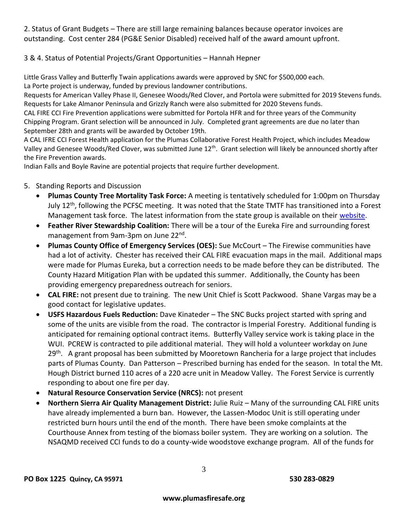2. Status of Grant Budgets – There are still large remaining balances because operator invoices are outstanding. Cost center 284 (PG&E Senior Disabled) received half of the award amount upfront.

## 3 & 4. Status of Potential Projects/Grant Opportunities – Hannah Hepner

Little Grass Valley and Butterfly Twain applications awards were approved by SNC for \$500,000 each.

La Porte project is underway, funded by previous landowner contributions.

Requests for American Valley Phase II, Genesee Woods/Red Clover, and Portola were submitted for 2019 Stevens funds. Requests for Lake Almanor Peninsula and Grizzly Ranch were also submitted for 2020 Stevens funds.

CAL FIRE CCI Fire Prevention applications were submitted for Portola HFR and for three years of the Community Chipping Program. Grant selection will be announced in July. Completed grant agreements are due no later than September 28th and grants will be awarded by October 19th.

A CAL IFRE CCI Forest Health application for the Plumas Collaborative Forest Health Project, which includes Meadow Valley and Genesee Woods/Red Clover, was submitted June 12<sup>th</sup>. Grant selection will likely be announced shortly after the Fire Prevention awards.

Indian Falls and Boyle Ravine are potential projects that require further development.

#### 5. Standing Reports and Discussion

- **Plumas County Tree Mortality Task Force:** A meeting is tentatively scheduled for 1:00pm on Thursday July 12<sup>th</sup>, following the PCFSC meeting. It was noted that the State TMTF has transitioned into a Forest Management task force. The latest information from the state group is available on their [website.](http://www.fire.ca.gov/treetaskforce/)
- **Feather River Stewardship Coalition:** There will be a tour of the Eureka Fire and surrounding forest management from 9am-3pm on June 22<sup>nd</sup>.
- **Plumas County Office of Emergency Services (OES):** Sue McCourt The Firewise communities have had a lot of activity. Chester has received their CAL FIRE evacuation maps in the mail. Additional maps were made for Plumas Eureka, but a correction needs to be made before they can be distributed. The County Hazard Mitigation Plan with be updated this summer. Additionally, the County has been providing emergency preparedness outreach for seniors.
- **CAL FIRE:** not present due to training. The new Unit Chief is Scott Packwood. Shane Vargas may be a good contact for legislative updates.
- **USFS Hazardous Fuels Reduction:** Dave Kinateder The SNC Bucks project started with spring and some of the units are visible from the road. The contractor is Imperial Forestry. Additional funding is anticipated for remaining optional contract items. Butterfly Valley service work is taking place in the WUI. PCREW is contracted to pile additional material. They will hold a volunteer workday on June 29<sup>th</sup>. A grant proposal has been submitted by Mooretown Rancheria for a large project that includes parts of Plumas County. Dan Patterson – Prescribed burning has ended for the season. In total the Mt. Hough District burned 110 acres of a 220 acre unit in Meadow Valley. The Forest Service is currently responding to about one fire per day.
- **Natural Resource Conservation Service (NRCS):** not present
- **Northern Sierra Air Quality Management District:** Julie Ruiz Many of the surrounding CAL FIRE units have already implemented a burn ban. However, the Lassen-Modoc Unit is still operating under restricted burn hours until the end of the month. There have been smoke complaints at the Courthouse Annex from testing of the biomass boiler system. They are working on a solution. The NSAQMD received CCI funds to do a county-wide woodstove exchange program. All of the funds for

3